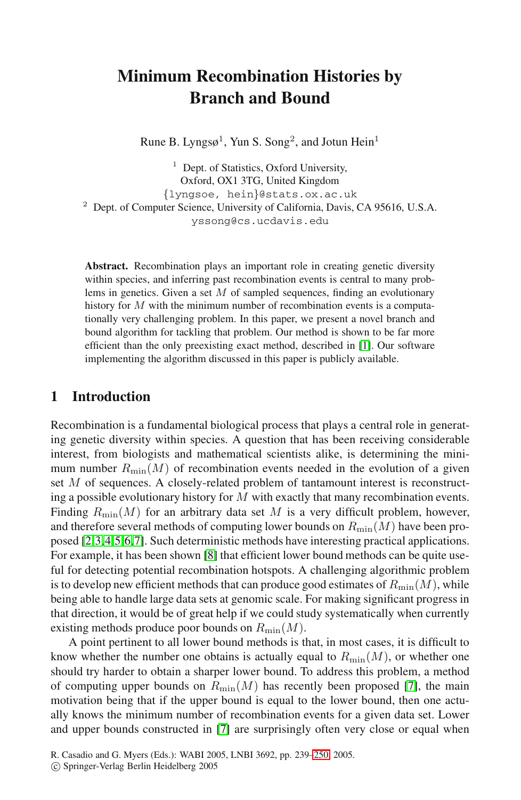# **Minimum Recombination Histories by Branch and Bound**

Rune B. Lyngs $\varphi^1$ , Yun S. Song<sup>2</sup>, and Jotun Hein<sup>1</sup>

 $<sup>1</sup>$  Dept. of Statistics, Oxford University,</sup> Oxford, OX1 3TG, United Kingdom {lyngsoe, hein}@stats.ox.ac.uk <sup>2</sup> Dept. of Computer Science, University of California, Davis, CA 95616, U.S.A. yssong@cs.ucdavis.edu

**Abstract.** Recombination plays an important role in creating genetic diversity within species, and inferring past recombination events is central to many problems in genetics. Given a set  $M$  of sampled sequences, finding an evolutionary history for  $M$  with the minimum number of recombination events is a computationally very challenging problem. In this paper, we present a novel branch and bound algorithm for tackling that problem. Our method is shown to be far more efficient than the only preexisting exact method, described in [1]. Our software implementing the algorithm discussed in this paper is publicly available.

## **1 Introduction**

Recombination is a fundamental biological process that plays a central role in generating genetic diversity within species. A question that has been receiving considerable interest, fr[om](#page-11-0) biologists and mathematical scientists alike, is determining the minimum number  $R_{\text{min}}(M)$  of recombination events needed in the evolution of a given set M of sequences. A closely-related problem of tantamount interest is reconstructing a possible evolutionary history for  $M$  with exactly that many recombination events. Finding  $R_{\text{min}}(M)$  for an arbitrary data set M is a very difficult problem, however, and therefore several methods of computing lower bounds on  $R_{\text{min}}(M)$  have been proposed [2,3,4,5,6,7]. Such deterministic methods have interesting practical applications. For example, it has been shown [8] that efficient lower bound methods can be quite useful for detecting potential recombination hotspots. A challenging algorithmic problem is to develop new efficient methods that can produce [goo](#page-11-1)d estimates of  $R_{\text{min}}(M)$ , while being able to handle large data sets at genomic scale. For making significant progress in that direction, it would be of great help if we could study systematically when currently existing meth[od](#page-11-1)s produce poor bounds on  $R_{\text{min}}(M)$ .

A point pertinent to all lower bound methods is that, in most cases, it is difficult to know whether the number one o[btain](#page-11-2)s is actually equal to  $R_{\text{min}}(M)$ , or whether one should try harder to obtain a sharper lower bound. To address this problem, a method of computing upper bounds on  $R_{\text{min}}(M)$  has recently been proposed [7], the main motivation being that if the upper bound is equal to the lower bound, then one actually knows the minimum number of recombination events for a given data set. Lower and upper bounds constructed in [7] are surprisingly often very close or equal when

R. Casadio and G. Myers (Eds.): WABI 2005, LNBI 3692, pp. 239–250, 2005.

c Springer-Verlag Berlin Heidelberg 2005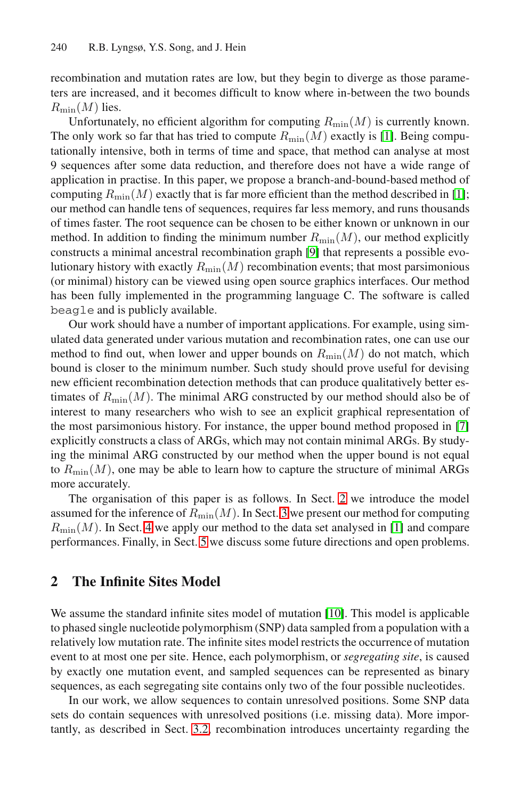recombination and mutation rates are low, but they begin to diverge as those parameters are increased, and it becomes difficult to know where in-[bet](#page-11-3)ween the two bounds  $R_{\text{min}}(M)$  lies.

Unfortunately, no efficient algorithm for computing  $R_{\min}(M)$  is currently known. The only work so far that has tried to compute  $R_{\text{min}}(M)$  exactly is [1]. Being computationally intensive, both in ter[ms](#page-11-4) of time and space, that method can analyse at most 9 sequences after some data reduction, and therefore does not have a wide range of application in practise. In this paper, we propose a branch-and-bound-based method of computing  $R_{\text{min}}(M)$  exactly that is far more efficient than the method described in [1]; our method can handle tens of sequences, requires far less memory, and runs thousands of times faster. The root sequence can be chosen to be either known or unknown in our method. In addition to finding the minimum number  $R_{\text{min}}(M)$ , our method explicitly constructs a minimal ancestral recombination graph [9] that represents a possible evolutionary history with exactly  $R_{\text{min}}(M)$  recombination events; that most parsimonious (or minimal) history can be viewed using open source graphics interfaces. Our method has been fully implemented in the programming language C. The software is called beagle and is publicly available.

Our work should have a number of important applications. [For](#page-11-1) example, using simulated data generated under various mutation and recombination rates, one can use our method to find out, when lower and upper bounds on  $R_{\text{min}}(M)$  do not match, which bound is closer to the minimum number. Such study should prove useful for devising new efficient recombination detection methods that can produce qualitatively better estimates of  $R_{\text{min}}(M)$ . The minimal A[RG](#page-1-0) constructed by our method should also be of interest to many research[ers](#page-2-0) who wish to see an explicit graphical representation of [t](#page-8-0)he most parsimonious history. For instance, the [up](#page-11-3)per bound method proposed in [7] explicitly [co](#page-10-0)nstructs a class of ARGs, which may not contain minimal ARGs. By studying the minimal ARG constructed by our method when the upper bound is not equal to  $R_{\text{min}}(M)$ , one may be able to learn how to capture the structure of minimal ARGs more accurately.

<span id="page-1-0"></span>The organisation of this paper is as follows. In Sect. 2 we introduce the model assumed for the inference of  $R_{\text{min}}(M)$ [.](#page-11-5) In Sect. 3 we present our method for computing  $R_{\text{min}}(M)$ . In Sect. 4 we apply our method to the data set analysed in [1] and compare performances. Finally, in Sect. 5 we discuss some future directions and open problems.

# **2 The Infinite Sites Model**

We assume the standard infinite sites model of mutation [10]. This model is applicable to phase[d sin](#page-5-0)gle nucleotide polymorphism (SNP) data sampled from a population with a relatively low mutation rate. The infinite sites model restricts the occurrence of mutation event to at most one per site. Hence, each polymorphism, or *segregating site*, is caused by exactly one mutation event, and sampled sequences can be represented as binary sequences, as each segregating site contains only two of the four possible nucleotides.

In our work, we allow sequences to contain unresolved positions. Some SNP data sets do contain sequences with unresolved positions (i.e. missing data). More importantly, as described in Sect. 3.2, recombination introduces uncertainty regarding the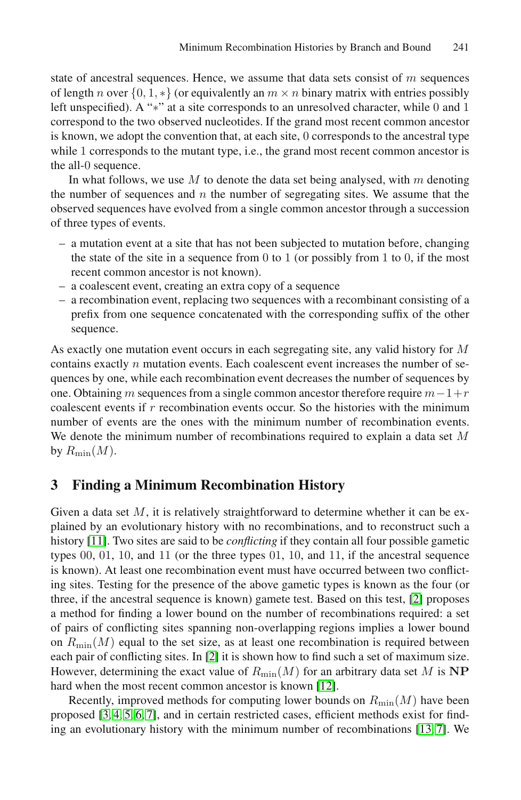state of ancestral sequences. Hence, we assume that data sets consist of  $m$  sequences of length n over  $\{0, 1, *\}$  (or equivalently an  $m \times n$  binary matrix with entries possibly left unspecified). A "∗" at a site corresponds to an unresolved character, while 0 and 1 correspond to the two observed nucleotides. If the grand most recent common ancestor is known, we adopt the convention that, at each site, 0 corresponds to the ancestral type while 1 corresponds to the mutant type, i.e., the grand most recent common ancestor is the all-0 sequence.

In what follows, we use M to denote the data set being analysed, with  $m$  denoting the number of sequences and  $n$  the number of segregating sites. We assume that the observed sequences have evolved from a single common ancestor through a succession of three types of events.

- a mutation event at a site that has not been subjected to mutation before, changing the state of the site in a sequence from  $0$  to  $1$  (or possibly from  $1$  to  $0$ , if the most recent common ancestor is not known).
- a coalescent event, creating an extra copy of a sequence
- a recombination event, replacing two sequences with a recombinant consisting of a prefix from one sequence concatenated with the corresponding suffix of the other sequence.

<span id="page-2-0"></span>As exactly one mutation event occurs in each segregating site, any valid history for M contains exactly  $n$  mutation events. Each coalescent event increases the number of sequences by one, while each recombination event decreases the number of sequences by one. Obtaining m sequences from a single common ancestor therefore require  $m-1+r$ coalescent events if  $r$  recombination events occur. So the histories with the minimum number of events are the ones with the minimum number of recombination events. We denote the minimum number of recombinations required to explain a data set M by  $R_{\text{min}}(M)$ .

# **3 Finding a Minimum Recombination H[ist](#page-11-6)ory**

Given a data set  $M$ , it is relatively straightforward to determine whether it can be explained by an evolutionary history with no recombinations, and to reconstruct such a history [11]. Two sites are said to be *conflicting* if they contain all four possible gametic types 00, 01[,](#page-11-6) 10, and 11 (or the three types 01, 10, and 11, if the ancestral sequence is known). At least one recombination event must have occurred between two conflicting sites. Testing for the presence [of t](#page-11-7)he above gametic types is known as the four (or three, if the ancestral sequence is known) gamete test. Based on this test, [2] proposes [a](#page-11-1) method for finding a lower bound on the number of recombinations required: a set of pairs of conflicting sites spanning non-overlapping [reg](#page-11-8)[ion](#page-11-1)s implies a lower bound on  $R_{\text{min}}(M)$  equal to the set size, as at least one recombination is required between each pair of conflicting sites. In [2] it is shown how to find such a set of maximum size. However, determining the exact value of  $R_{\text{min}}(M)$  for an arbitrary data set M is  $NP$ hard when the most recent common ancestor is known [12].

Recently, improved methods for computing lower bounds on  $R_{\text{min}}(M)$  have been proposed [3, 4, 5, 6, 7], and in certain restricted cases, efficient methods exist for finding an evolutionary history with the minimum number of recombinations [13, 7]. We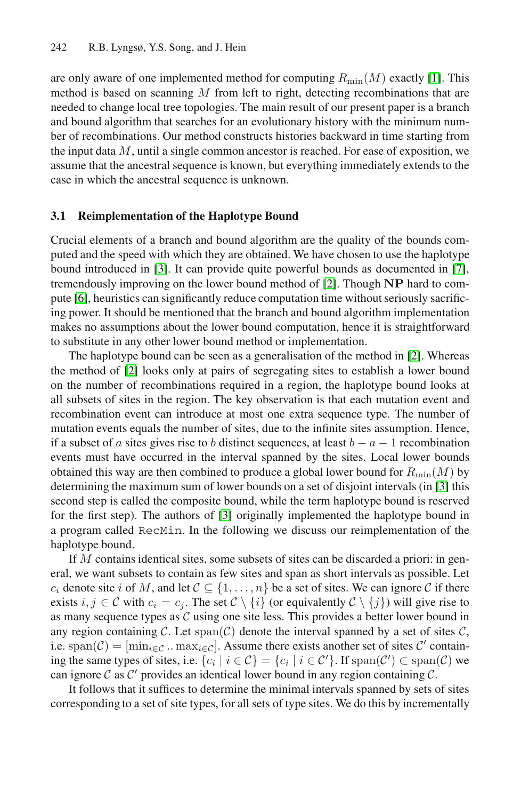<span id="page-3-0"></span>are only aware of one implemented method for computing  $R_{\text{min}}(M)$  exactly [1]. This method is based on scanning M from left to right, detecting recombinations that are needed to change local tree topologies. The main result of our present paper is a branch and bound algorithm that searches for an evolutionary history with the minimum number of recombinations. Our method constructs histories backward in time starting from the input data  $M$ , until a single common ancestor is reached. For ease of exposition, we a[ss](#page-11-9)ume that the ancestral sequence is known, but everything im[me](#page-11-1)diately extends to the case in which the ancestral sequenc[e is](#page-11-6) unknown.

### **3.1 Reimplementation of the Haplotype Bound**

Crucial elements of a branch and bound algorithm are the quality of the bounds computed and the speed with which they are obtained. We [h](#page-11-6)ave chosen to use the haplotype bound introduced in [3]. It can provide quite powerful bounds as documented in [7], tremendously improving on the lower bound method of [2]. Though **NP** hard to compute [6], heuristics can significantly reduce computation time without seriously sacrificing power. It should be mentioned that the branch and bound algorithm implementation makes no assumptions about the lower bound computation, hence it is straightforward to substitute in any other lower bound method or implementation.

The haplotype bound can be seen as a generalisation of the method in [2]. Whereas the method of [2] looks only at pairs of segregating sites to establish a lower bound on the number of recombinations required in a region, th[e h](#page-11-9)aplotype bound looks at all subsets of sites in the region. The key observation is that each mutation event and recombination [ev](#page-11-9)ent can introduce at most one extra sequence type. The number of mutation events equals the number of sites, due to the infinite sites assumption. Hence, if a subset of a sites gives rise to b distinct sequences, at least  $b - a - 1$  recombination events must have occurred in the interval spanned by the sites. Local lower bounds obtained this way are then combined to produce a global lower bound for  $R_{\text{min}}(M)$  by determining the maximum sum of lower bounds on a set of disjoint intervals (in [3] this second step is called the composite bound, while the term haplotype bound is reserved for the first step). The authors of [3] originally implemented the haplotype bound in a program called RecMin. In the following we discuss our reimplementation of the haplotype bound.

If M contains identical sites, some subsets of sites can be discarded a priori: in general, we want subsets to contain as few sites and span as short intervals as possible. Let  $c_i$  denote site i of M, and let  $C \subseteq \{1,\ldots,n\}$  be a set of sites. We can ignore C if there exists  $i, j \in \mathcal{C}$  with  $c_i = c_j$ . The set  $\mathcal{C} \setminus \{i\}$  (or equivalently  $\mathcal{C} \setminus \{j\}$ ) will give rise to as many sequence types as  $C$  using one site less. This provides a better lower bound in any region containing C. Let  $\text{span}(\mathcal{C})$  denote the interval spanned by a set of sites C, i.e. span( $C$ ) = [min<sub>i∈C</sub> .. max<sub>i∈C</sub>]. Assume there exists another set of sites C' containing the same types of sites, i.e.  $\{c_i \mid i \in C\} = \{c_i \mid i \in C'\}$ . If  $\text{span}(C') \subset \text{span}(\mathcal{C})$  we can ignore C as C' provides an identical lower bound in any region containing C.

It follows that it suffices to determine the minimal intervals spanned by sets of sites corresponding to a set of site types, for all sets of type sites. We do this by incrementally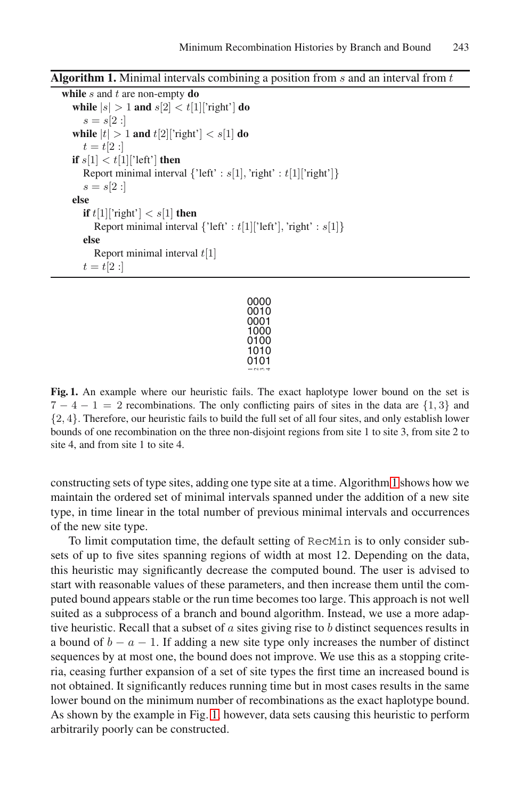**Algorithm 1.** Minimal intervals combining a position from s and an interval from t

**while** s and t are non-empty **do while**  $|s| > 1$  **and**  $s[2] < t[1]$ ['right'] **do**  $s = s[2:]$ **while**  $|t| > 1$  **and**  $t[2]$ ['right']  $\lt s[1]$  **do**  $t = t[2 :]$ **if**  $s[1] < t[1]$ <sup>'</sup>left' **then** Report minimal interval  $\{$ 'left' :  $s[1]$ , 'right' :  $t[1]$ ['right']}  $s = s[2:]$ **else if**  $t[1]$ ['right']  $\lt s[1]$  **then** Report minimal interval  $\{\text{'left'}: t[1] \text{'left'}], \text{'right'}: s[1] \}$ **else** Report minimal interval  $t[1]$  $t = t[2 :]$ 

| 0000        |
|-------------|
| 0010        |
| 0001        |
| 1000        |
| 0100        |
| 1010        |
| 0101        |
| $ \sim$ $-$ |

<span id="page-4-0"></span>**Fig. 1.** An example where our heuristic fails. The exact haplotype lower bound on the set is  $7 - 4 - 1 = 2$  recombinations. The only conflicting pairs of sites in the data are  $\{1, 3\}$  and {2, 4}. Therefore, our heuristic fails to build the full set of all four sites, and only establish lower bounds of one recombination on the three non-disjoint regions from site 1 to site 3, from site 2 to site 4, and from site 1 to site 4.

constructing sets of type sites, adding one type site at a time. Algorithm 1 shows how we maintain the ordered set of minimal intervals spanned under the addition of a new site type, in time linear in the total number of previous minimal intervals and occurrences of the new site type.

To limit computation time, the default setting of RecMin is to only consider subsets of up to five sites spanning regions of width at most 12. Depending on the data, this heuristic may significantly decrease the computed bound. The user is advised to start with reasonable values of these parameters, and then increase them until the computed bound appears stable or the run time becomes too large. This approach is not well suited as a s[ub](#page-4-0)process of a branch and bound algorithm. Instead, we use a more adaptive heuristic. Recall that a subset of  $\alpha$  sites giving rise to  $\beta$  distinct sequences results in a bound of  $b - a - 1$ . If adding a new site type only increases the number of distinct sequences by at most one, the bound does not improve. We use this as a stopping criteria, ceasing further expansion of a set of site types the first time an increased bound is not obtained. It significantly reduces running time but in most cases results in the same lower bound on the minimum number of recombinations as the exact haplotype bound. As shown by the example in Fig. 1, however, data sets causing this heuristic to perform arbitrarily poorly can be constructed.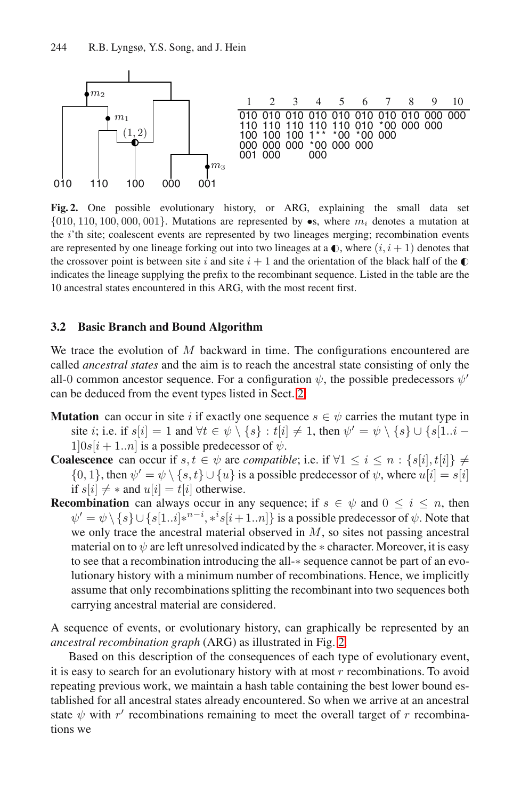<span id="page-5-1"></span>

<span id="page-5-0"></span>**Fig. 2.** One possible evolutionary history, or ARG, explaining the small data set  $\{010, 110, 100, 000, 001\}$ . Mutations are represented by  $\bullet s$ , where  $m_i$  denotes a mutation at the i'th site; coalescent events are represented by two lineages merging; recombination events are represented by one lineage forking out into two lineages at a  $\mathbb{O}$ , where  $(i, i + 1)$  denotes that the crossover point is between site i and site  $i + 1$  and the orientation of the black half of the  $\bullet$ indicates the lineage supplying the prefix to the recombinant sequence. Listed in the table are the 10 ancestral states encountered in [th](#page-1-0)is ARG, with the most recent first.

### **3.2 Basic Branch and Bound Algorithm**

We trace the evolution of  $M$  backward in time. The configurations encountered are called *ancestral states* and the aim is to reach the ancestral state consisting of only the all-0 common ancestor sequence. For a configuration  $\psi$ , the possible predecessors  $\psi'$ can be deduced from the event types listed in Sect. 2:

- **Mutation** can occur in site i if exactly one sequence  $s \in \psi$  carries the mutant type in site *i*; i.e. if  $s[i]=1$  and  $\forall t \in \psi \setminus \{s\} : t[i] \neq 1$ , then  $\psi' = \psi \setminus \{s\} \cup \{s[1..i-1]$  $1|0s[i + 1..n]$  is a possible predecessor of  $\psi$ .
- **Coalescence** can occur if  $s, t \in \psi$  are *compatible*; i.e. if  $\forall 1 \leq i \leq n : \{s[i], t[i]\} \neq \emptyset$  $\{0, 1\}$ , then  $\psi' = \psi \setminus \{s, t\} \cup \{u\}$  is a possible predecessor of  $\psi$ , where  $u[i] = s[i]$ if  $s[i] \neq *$  and  $u[i] = t[i]$  otherwise.
- **Recombination** can always occur in any sequence; if  $s \in \psi$  and  $0 \le i \le n$ , then  $\psi' = \psi \setminus \{s\} \cup \{s[1..i]*^{n-i}, *^is[i+1..n]\}$  is a possible predecessor of  $\psi$ . Note that we only trace the ancestral materi[al](#page-5-1) observed in M, so sites not passing ancestral material on to  $\psi$  are left unresolved indicated by the  $*$  character. Moreover, it is easy to see that a recombination introducing the all-∗ sequence cannot be part of an evolutionary history with a minimum number of recombinations. Hence, we implicitly assume that only recombinations splitting the recombinant into two sequences both carrying ancestral material are considered.

A sequence of events, or evolutionary history, can graphically be represented by an *ancestral recombination graph* (ARG) as illustrated in Fig. 2.

Based on this description of the consequences of each type of evolutionary event, it is easy to search for an evolutionary history with at most  $r$  recombinations. To avoid repeating previous work, we maintain a hash table containing the best lower bound established for all ancestral states already encountered. So when we arrive at an ancestral state  $\psi$  with r' recombinations remaining to meet the overall target of r recombinations we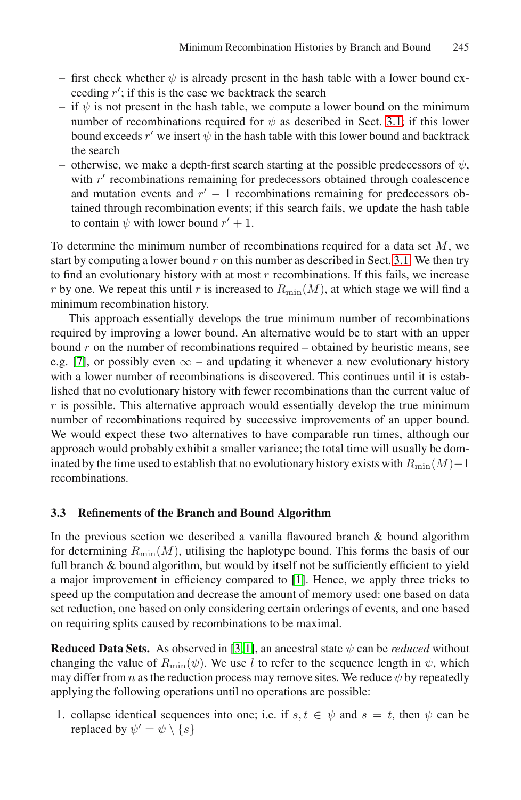- first check whether  $\psi$  is already present in the hash table with a lower bound exceeding  $r'$ ; if this is the case we backtrack the search
- if  $\psi$  is not present in the hash table, we compute a lower bound on the minimum number of recombinations required for  $\psi$  as described in Sect. 3.1; if this lower bound exceeds  $r'$  we insert  $\psi$  in the hash table with this lower bound and backtrack the search
- otherwise, we make a depth-first search starti[ng](#page-3-0) [a](#page-3-0)t the possible predecessors of  $\psi$ , with  $r'$  recombinations remaining for predecessors obtained through coalescence and mutation events and  $r'-1$  recombinations remaining for predecessors obtained through recombination events; if this search fails, we update the hash table to contain  $\psi$  with lower bound  $r' + 1$ .

To determine the minimum number of recombinations required for a data set  $M$ , we start by computing a lower bound  $r$  on this number as described in Sect. 3.1. We then try to find an evolutionary history with at most  $r$  recombinations. If this fails, we increase r by one. We repeat this until r is increased to  $R_{\text{min}}(M)$ , at which stage we will find a minimum recombination history.

<span id="page-6-1"></span>This approach essentially develops the true minimum number of recombinations required by improving a lower bound. An alternative would be to start with an upper bound  $r$  on the number of recombinations required – obtained by heuristic means, see e.g. [7], or possibly even  $\infty$  – and updating it whenever a new evolutionary history with a lower number of recombinations is discovered. This continues until it is established that no evolutionary history with fewer recombinations than the current value of  $r$  is possible. This alternative approach would essentially develop the true minimum number of recombinations required by successive improvements of an upper bound. We would expect these two alternatives to have comparable run times, although our approach would probably exhibit a smaller variance; the total time will usually be dominated by the time used to establish that no evolutionary history exists with  $R_{\text{min}}(M)-1$ recombinations.

## **3.3 Refinements of the Branch and Bound Algorithm**

In the previous [se](#page-11-9)[cti](#page-11-3)on we described a vanilla flavoured branch  $\&$  bound algorithm for determining  $R_{\min}(M)$ , utilising the haplotype bound. This forms the basis of our full branch & bound algorithm, but would by itself not be sufficiently efficient to yield a major improvement in efficiency compared to [1]. Hence, we apply three tricks to speed up the computation and decrease the amount of memory used: one based on data set reduction, one based on only considering certain orderings of events, and one based on requiring splits caused by recombinations to be maximal.

<span id="page-6-0"></span>**Reduced Data Sets.** As observed in [3, 1], an ancestral state  $\psi$  can be *reduced* without changing the value of  $R_{\text{min}}(\psi)$ . We use l to refer to the sequence length in  $\psi$ , which may differ from n as the reduction process may remove sites. We reduce  $\psi$  by repeatedly applying the following operations until no operations are possible:

1. collapse identical sequences into one; i.e. if  $s, t \in \psi$  and  $s = t$ , then  $\psi$  can be replaced by  $\psi' = \psi \setminus \{s\}$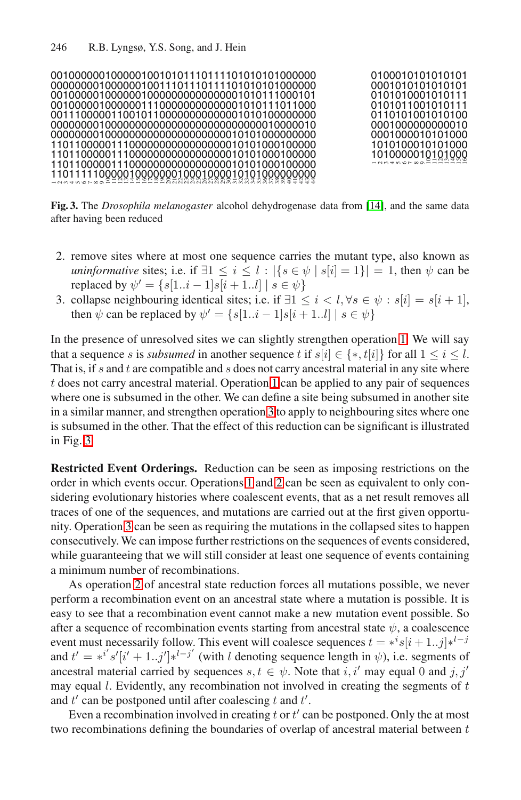<span id="page-7-1"></span>

|                                              |  | 0100010101010101 |
|----------------------------------------------|--|------------------|
|                                              |  | 0001010101010101 |
|                                              |  | 0101010001010111 |
| 00100000100000011100000000000000101011011000 |  | 0101011001010111 |
|                                              |  | 0110101001010100 |
|                                              |  | 0001000000000010 |
|                                              |  | 0001000010101000 |
|                                              |  | 1010100010101000 |
|                                              |  |                  |
|                                              |  | 1010000010101000 |
|                                              |  |                  |
|                                              |  |                  |

<span id="page-7-0"></span>**Fig. 3.** The *Drosophila melanogaster* alcohol dehydrogenase data from [14], and the same data after having been reduced

- 2. remove sites where at most one sequence carries the mutant type, also known as *uninformative* sites; i.e. if  $\exists 1 \leq i \leq l : |\{s \in \psi \mid s[i]=1\}| = 1$ , then  $\psi$  can be replaced by  $\psi' = \{ s[1..i - 1]s[i + 1..l] \mid s \in \psi \}$  $\psi' = \{ s[1..i - 1]s[i + 1..l] \mid s \in \psi \}$  $\psi' = \{ s[1..i - 1]s[i + 1..l] \mid s \in \psi \}$
- 3. collapse neighbouring identical sites; i.e. if  $\exists 1 \le i < l, \forall s \in \psi : s[i] = s[i+1],$ then  $\psi$  can be repla[ce](#page-7-0)d by  $\psi' = \{s[1..i-1]s[i+1..l] \mid s \in \psi\}$

In the presence of unresolved sites we can slightly strengthen operation 1. We will say that a sequence s is *subsumed* in another sequence t if  $s[i] \in \{*, t[i]\}$  for all  $1 \le i \le l$ . That is, if  $s$  and  $t$  are compatible and  $s$  does not carry ancestral material in any site where t does not carry anc[es](#page-6-0)tral [m](#page-7-1)aterial. Operation 1 can be applied to any pair of sequences where one is subsumed in the other. We can define a site being subsumed in another site in a similar manner, and strengthen operation 3 to apply to neighbouring sites where one is subsumed in the other. That the effect of this reduction can be significant is illustrated in Fig. 3.

**Restricted Event Orderings.** Reduction can be seen as imposing restrictions on the order in which events occur. Operations 1 and 2 can be seen as equivalent to only considering evolutionary histories where coalescent events, that as a net result removes all traces of one of the sequences, and mutations are carried out at the first given opportunity. Operation 3 can be seen as requiring the mutations in the collapsed sites to happen consecutively. We can impose further restrictions on the sequences of events considered, while guaranteeing that we will still consider at least one sequence of events containing a minimum number of recombinations.

As operation 2 of ancestral state reduction forces all mutations possible, we never perform a recombination event on an ancestral state where a mutation is possible. It is easy to see that a recombination event cannot make a new mutation event possible. So after a sequence of recombination events starting from ancestral state  $\psi$ , a coalescence event must necessarily follow. This event will coalesce sequences  $t = *^i s[i + 1..j] *^{l-j}$ and  $t' = *^{i'}s'[i' + 1..j'] *^{l-j'}$  (with *l* denoting sequence length in  $\psi$ ), i.e. segments of ancestral material carried by sequences  $s, t \in \psi$ . Note that i, i' may equal 0 and j, j' may equal  $l$ . Evidently, any recombination not involved in creating the segments of  $t$ and  $t'$  can be postponed until after coalescing t and  $t'$ .

Even a recombination involved in creating  $t$  or  $t'$  can be postponed. Only the at most two recombinations defining the boundaries of overlap of ancestral material between t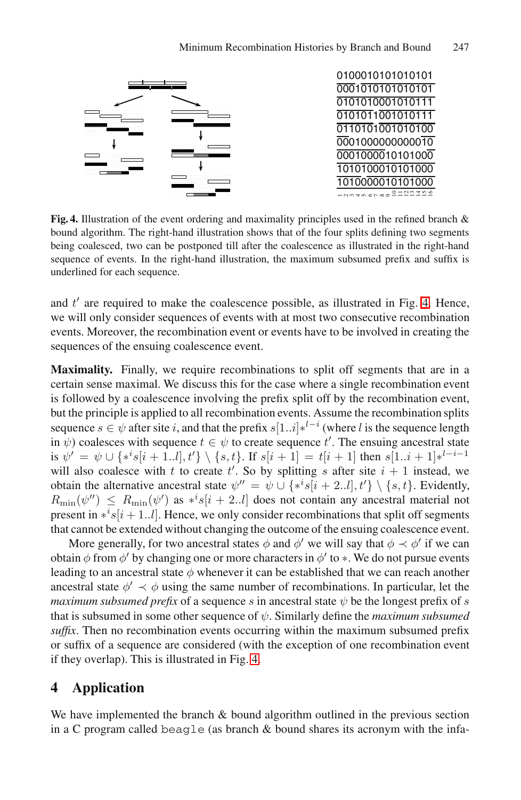#### Minimum Recombination Histories by Branch and Bound 247

<span id="page-8-1"></span>

**Fig. 4.** Illustration of the event ordering and maximality principles used in the refined branch & bound algorithm. The right-hand illustration shows that of the four splits defining two segments being coalesced, two can be postponed till after the coalescence as illustrated in the right-hand sequence of events. In the right-hand illustration, the maximum subsumed prefix and suffix is underlined for each sequence.

and  $t'$  are required to make the coalescence possible, as illustrated in Fig. 4. Hence, we will only consider sequences of events with at most two consecutive recombination events. Moreover, the recombination event or events have to be involved in creating the sequences of the ensuing coalescence event.

**Maximality.** Finally, we require recombinations to split off segments that are in a certain sense maximal. We discuss this for the case where a single recombination event is followed by a coalescence involving the prefix split off by the recombination event, but the principle is applied to all recombination events. Assume the recombination splits sequence  $s \in \psi$  after site i, and that the prefix  $s[1..i]*^{l-i}$  (where l is the sequence length in  $\psi$ ) coalesces with sequence  $t \in \psi$  to create sequence  $t'$ . The ensuing ancestral state is  $\psi' = \psi \cup \{ *^i s[i+1..l], t' \} \setminus \{s, t\}.$  If  $s[i+1] = t[i+1]$  then  $s[1..i+1] *^{l-i-1}$ will also coalesce with t to create t'. So by splitting s after site  $i + 1$  instead, we obtain the alternative ancestral state  $\psi'' = \psi \cup \{ *^i s[i + 2..l], t' \} \setminus \{s, t\}.$  Evidently,  $R_{\min}(\psi'') \leq R_{\min}(\psi')$  as  $*^{i}s[i+2..l]$  does not contain any ancestral material not present in  $*$ <sup>*i*</sup> $s[i+1..l]$ . Hence, we only consider recombinations that split off segments that cannot be extended without changing the outcome of the ensuing coalescence event.

<span id="page-8-0"></span>More generally, for two ancestral states  $\phi$  and  $\phi'$  we will say that  $\phi \prec \phi'$  if we can obtain  $\phi$  from  $\phi'$  by [cha](#page-8-1)nging one or more characters in  $\phi'$  to  $*$ . We do not pursue events leading to an ancestral state  $\phi$  whenever it can be established that we can reach another ancestral state  $\phi' \prec \phi$  using the same number of recombinations. In particular, let the *maximum subsumed prefix* of a sequence s in ancestral state  $\psi$  be the longest prefix of s that is subsumed in some other sequence of ψ. Similarly define the *maximum subsumed suffix*. Then no recombination events occurring within the maximum subsumed prefix or suffix of a sequence are considered (with the exception of one recombination event if they overlap). This is illustrated in Fig. 4.

# **4 Application**

We have implemented the branch  $\&$  bound algorithm outlined in the previous section in a C program called beagle (as branch & bound shares its acronym with the infa-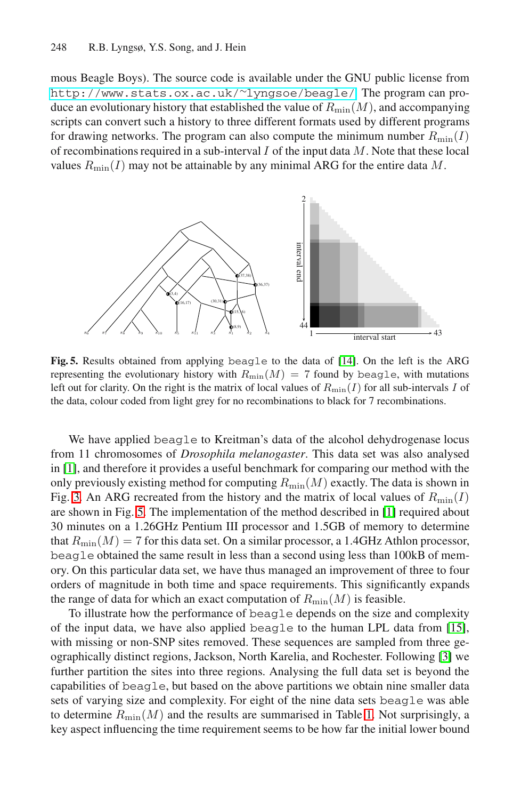mous Beagle Boys). The source code is available under the GNU public license from http://www.stats.ox.ac.uk/∼lyngsoe/beagle/. The program can produce an evolutionary history that established the value of  $R_{\text{min}}(M)$ , and accompanying scripts can convert such a history to three different formats used by different programs for drawing networks. The program can also compute the minimum number  $R_{\text{min}}(I)$ of recombinations required in a sub-interval  $I$  of the input data  $M$ . Note that these local values  $R_{\text{min}}(I)$  may not be attainable by any minimal ARG for the entire data M.



**Fig. 5.** Results obtained from applying beagle to the data of [14]. On the left is the ARG representing the evolutionary history with  $R_{\min}(M)=7$  found by beagle, with mutations left out for clarity. On the right is the matrix of local values of  $R_{\text{min}}(I)$  for all sub-intervals I of the data, colour coded from light grey for no recombi[nat](#page-11-3)ions to black for 7 recombinations.

We have applied beagle to Kreitman's data of the alcohol dehydrogenase locus from 11 chromosomes of *Drosophila melanogaster*. This data set was also analysed in [1], and therefore it provides a useful benchmark for comparing our method with the only previously existing method for computing  $R_{\min}(M)$  exactly. The data is shown in Fig. 3. An ARG recreated from the history and the matrix of local values of  $R_{\text{min}}(I)$ are shown in Fig. 5. The implementation of the method described in [1] required about 30 minutes on a 1.26GHz Pentium III processor and 1.5GB [of m](#page-11-11)emory to determine that  $R_{\text{min}}(M)=7$  for this data set. On a similar processor, a 1.4GHz Athlon processor, beagle obtained the same result in less than a second usin[g l](#page-11-9)ess than 100kB of memory. On this particular data set, we have thus managed an improvement of three to four orders of magnitude in both time and space requirements. This significantly expands the range of data for which an exact computation of  $R_{\text{min}}(M)$  is feasible.

To illustrate how the performance of be[ag](#page-10-1)le depends on the size and complexity of the input data, we have also applied beagle to the human LPL data from [15], with missing or non-SNP sites removed. These sequences are sampled from three geographically distinct regions, Jackson, North Karelia, and Rochester. Following [3] we further partition the sites into three regions. Analysing the full data set is beyond the capabilities of beagle, but based on the above partitions we obtain nine smaller data sets of varying size and complexity. For eight of the nine data sets beagle was able to determine  $R_{\text{min}}(M)$  and the results are summarised in Table 1. Not surprisingly, a key aspect influencing the time requirement seems to be how far the initial lower bound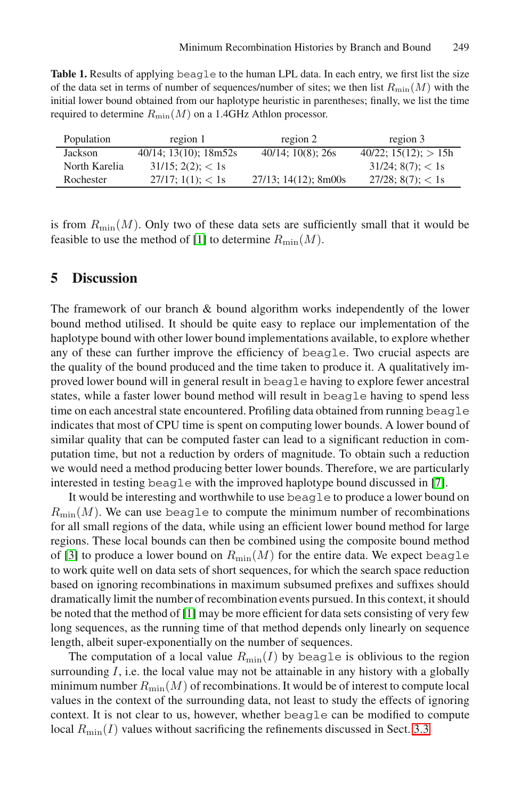<span id="page-10-1"></span>Table 1. Results of applying beagle to the human LPL data. In each entry, we first list the size of the data set in terms of number of sequences/number of sites; we then list  $R_{\text{min}}(M)$  with the initial lower bound obtained from our haplotype heuristic in parentheses; finally, we list the time required to determine  $R_{\min}(M)$  on a 1.4GHz Athlon processor.

<span id="page-10-0"></span>

| Population    | region 1                  | region 2                | region 3                     |
|---------------|---------------------------|-------------------------|------------------------------|
| Jackson       | $40/14$ ; 13(10); 18m52s  | $40/14$ ; 10(8); 26s    | $40/22$ ; $15(12)$ ; $> 15h$ |
| North Karelia | $31/15$ ; $2(2)$ ; $< 1s$ |                         | $31/24$ ; $8(7)$ ; $< 1s$    |
| Rochester     | $27/17$ ; 1(1); < 1s      | $27/13$ ; 14(12); 8m00s | $27/28$ ; 8(7); < 1s         |

is from  $R_{\text{min}}(M)$ . Only two of these data sets are sufficiently small that it would be feasible to use the method of [1] to determine  $R_{\text{min}}(M)$ .

# **5 Discussion**

The framework of our branch & bound algorithm works independently of the lower bound method utilised. It should be quite easy to replace our implementation of the haplotype bound with other lower bound implementations available, to explore whether any of these can further improve the efficiency of beagle. Two crucial aspects are the quality of the bound produced and the time taken to produce it. A qualitatively improved lower bound will in general result in beagle havi[ng](#page-11-1) to explore fewer ancestral states, while a faster lower bound method will result in beagle having to spend less time on each ancestral state encountered. Profiling data obtained from running beagle indicates that most of CPU time is spent on computing lower bounds. A lower bound of similar quality that can be computed faster can lead to a significant reduction in computation time, but not a reduction by orders of magnitude. To obtain such a reduction we would need a method producing better lower bounds. Therefore, we are particularly interested in testing beagle with the improved haplotype bound discussed in [7].

It would be interesting and worthwhile to use beagle to produce a lower bound on  $R_{\text{min}}(M)$  $R_{\text{min}}(M)$  $R_{\text{min}}(M)$ . We can use beagle to compute the minimum number of recombinations for all small regions of the data, while using an efficient lower bound method for large regions. These local bounds can then be combined using the composite bound method of [3] to produce a lower bound on  $R_{\text{min}}(M)$  for the entire data. We expect beagle to work quite well on data sets of short sequences, for which the search space reduction based on ignoring recombinations in maximum subsumed prefixes and suffixes should dramatically limit the number of recombination events pursued. In this context, it should be noted that the method of [1] may be more efficient for data sets consisting of very few long sequences, as the running time of that method d[epen](#page-6-1)ds only linearly on sequence length, albeit super-exponentially on the number of sequences.

The computation of a local value  $R_{\min}(I)$  by beagle is oblivious to the region surrounding  $I$ , i.e. the local value may not be attainable in any history with a globally minimum number  $R_{\text{min}}(M)$  of recombinations. It would be of interest to compute local values in the context of the surrounding data, not least to study the effects of ignoring context. It is not clear to us, however, whether beagle can be modified to compute local  $R_{\text{min}}(I)$  values without sacrificing the refinements discussed in Sect. 3.3